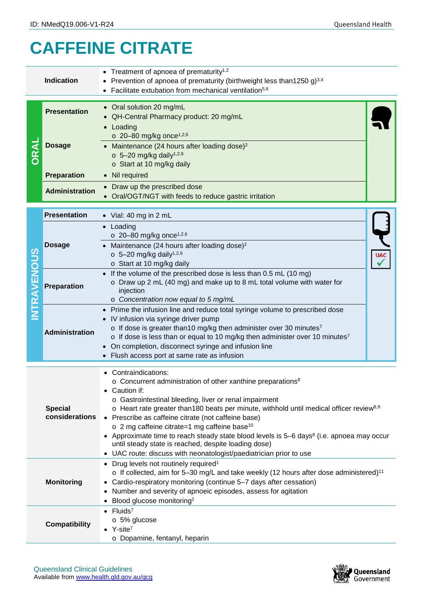## **CAFFEINE CITRATE**

| <b>Indication</b>    |                                  | • Treatment of apnoea of prematurity <sup>1,2</sup>                                                                   |  |  |  |  |
|----------------------|----------------------------------|-----------------------------------------------------------------------------------------------------------------------|--|--|--|--|
|                      |                                  | Prevention of apnoea of prematurity (birthweight less than1250 g) <sup>3,4</sup>                                      |  |  |  |  |
|                      |                                  | Facilitate extubation from mechanical ventilation <sup>5,6</sup>                                                      |  |  |  |  |
|                      |                                  |                                                                                                                       |  |  |  |  |
|                      | <b>Presentation</b>              | • Oral solution 20 mg/mL                                                                                              |  |  |  |  |
|                      |                                  | • QH-Central Pharmacy product: 20 mg/mL                                                                               |  |  |  |  |
|                      |                                  | • Loading                                                                                                             |  |  |  |  |
|                      | <b>Dosage</b>                    | $\circ$ 20-80 mg/kg once <sup>1,2,6</sup>                                                                             |  |  |  |  |
|                      |                                  | • Maintenance (24 hours after loading dose) <sup>2</sup>                                                              |  |  |  |  |
|                      |                                  | $\circ$ 5-20 mg/kg daily <sup>1,2,6</sup>                                                                             |  |  |  |  |
|                      |                                  | o Start at 10 mg/kg daily                                                                                             |  |  |  |  |
|                      | <b>Preparation</b>               | • Nil required                                                                                                        |  |  |  |  |
|                      | <b>Administration</b>            | Draw up the prescribed dose                                                                                           |  |  |  |  |
|                      |                                  | • Oral/OGT/NGT with feeds to reduce gastric irritation                                                                |  |  |  |  |
|                      |                                  |                                                                                                                       |  |  |  |  |
|                      | <b>Presentation</b>              | $\bullet$ Vial: 40 mg in 2 mL                                                                                         |  |  |  |  |
|                      | <b>Dosage</b>                    | Loading                                                                                                               |  |  |  |  |
|                      |                                  | $\circ$ 20-80 mg/kg once <sup>1,2,6</sup>                                                                             |  |  |  |  |
|                      |                                  | Maintenance (24 hours after loading dose) <sup>2</sup>                                                                |  |  |  |  |
|                      |                                  | $\circ$ 5-20 mg/kg daily <sup>1,2,6</sup>                                                                             |  |  |  |  |
| <b>INTRAVENOUS</b>   |                                  | o Start at 10 mg/kg daily                                                                                             |  |  |  |  |
|                      |                                  | If the volume of the prescribed dose is less than 0.5 mL (10 mg)                                                      |  |  |  |  |
|                      | Preparation                      | o Draw up 2 mL (40 mg) and make up to 8 mL total volume with water for<br>injection                                   |  |  |  |  |
|                      |                                  | o Concentration now equal to 5 mg/mL                                                                                  |  |  |  |  |
|                      |                                  |                                                                                                                       |  |  |  |  |
|                      | Administration                   | Prime the infusion line and reduce total syringe volume to prescribed dose<br>IV infusion via syringe driver pump     |  |  |  |  |
|                      |                                  | $\circ$ If dose is greater than 10 mg/kg then administer over 30 minutes <sup>7</sup>                                 |  |  |  |  |
|                      |                                  | $\circ$ If dose is less than or equal to 10 mg/kg then administer over 10 minutes <sup>7</sup>                        |  |  |  |  |
|                      |                                  | On completion, disconnect syringe and infusion line                                                                   |  |  |  |  |
|                      |                                  | • Flush access port at same rate as infusion                                                                          |  |  |  |  |
|                      |                                  |                                                                                                                       |  |  |  |  |
|                      |                                  | Contraindications:                                                                                                    |  |  |  |  |
|                      |                                  | o Concurrent administration of other xanthine preparations <sup>8</sup>                                               |  |  |  |  |
|                      |                                  | • Caution if:                                                                                                         |  |  |  |  |
|                      |                                  | o Gastrointestinal bleeding, liver or renal impairment                                                                |  |  |  |  |
|                      | <b>Special</b><br>considerations | $\circ$ Heart rate greater than180 beats per minute, withhold until medical officer review <sup>8,9</sup>             |  |  |  |  |
|                      |                                  | • Prescribe as caffeine citrate (not caffeine base)<br>$\circ$ 2 mg caffeine citrate=1 mg caffeine base <sup>10</sup> |  |  |  |  |
|                      |                                  | • Approximate time to reach steady state blood levels is 5–6 days <sup>8</sup> (i.e. apnoea may occur                 |  |  |  |  |
|                      |                                  | until steady state is reached, despite loading dose)                                                                  |  |  |  |  |
|                      |                                  | • UAC route: discuss with neonatologist/paediatrician prior to use                                                    |  |  |  |  |
|                      |                                  | • Drug levels not routinely required <sup>1</sup>                                                                     |  |  |  |  |
|                      |                                  | o If collected, aim for 5-30 mg/L and take weekly (12 hours after dose administered) <sup>11</sup>                    |  |  |  |  |
|                      | <b>Monitoring</b>                | • Cardio-respiratory monitoring (continue 5-7 days after cessation)                                                   |  |  |  |  |
|                      |                                  | • Number and severity of apnoeic episodes, assess for agitation                                                       |  |  |  |  |
|                      |                                  | • Blood glucose monitoring <sup>2</sup>                                                                               |  |  |  |  |
|                      |                                  | $\bullet$ Fluids <sup>7</sup>                                                                                         |  |  |  |  |
| <b>Compatibility</b> |                                  | o 5% glucose                                                                                                          |  |  |  |  |
|                      |                                  | $\bullet$ Y-site <sup>7</sup>                                                                                         |  |  |  |  |
|                      |                                  | o Dopamine, fentanyl, heparin                                                                                         |  |  |  |  |